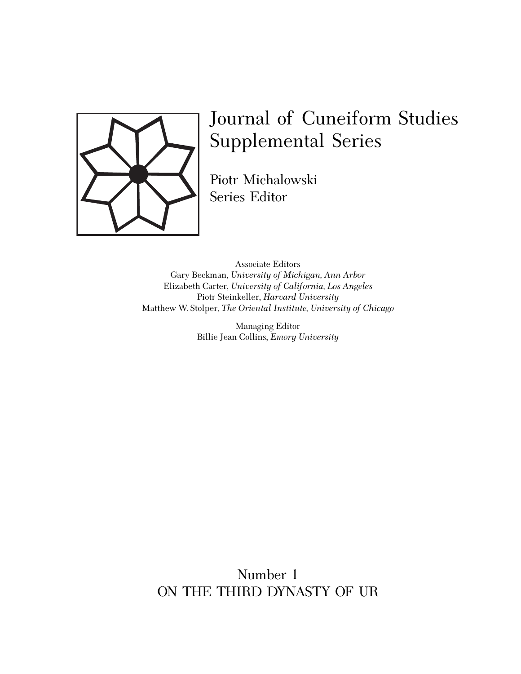

## Journal of Cuneiform Studies Supplemental Series

Piotr Michalowski Series Editor

Associate Editors Associate Editors Gary Beckman, *University of Michigan, Ann Arbor* Elizabeth Carter, *University of California, Los Angeles* Piotr Steinkeller, *Harvard University* Piotr Steinkeller, *Harvard University* Matthew W. Stolper, *The Oriental Institute, University of Chicago* Gary Beckman, *University of Michigan, Ann Arbor*

Matthew W. Stolper, *The Oriental Institute, University of Chicago* Managing Editor Billie Jean Collins, *Emory University*

> Number 1 ON THE THIRD DYNASTY OF UR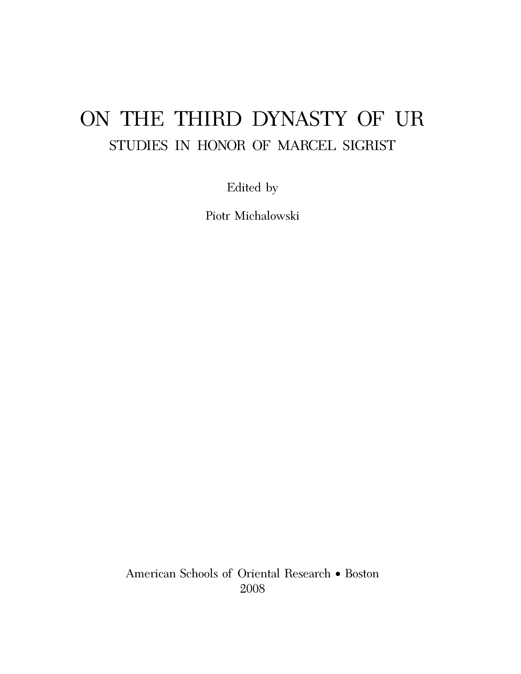# ON THE THIRD DYNASTY OF UR STUDIES IN HONOR OF MARCEL SIGRIST

Edited by

Piotr Michalowski

American Schools of Oriental Research ∑ Boston 2008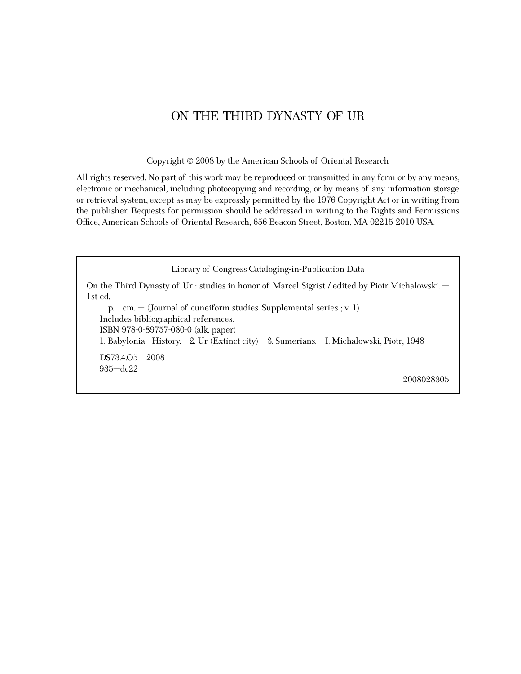## ON THE THIRD DYNASTY OF UR

Copyright  $©$  2008 by the American Schools of Oriental Research

All rights reserved. No part of this work may be reproduced or transmitted in any form or by any means, electronic or mechanical, including photocopying and recording, or by means of any information storage or retrieval system, except as may be expressly permitted by the 1976 Copyright Act or in writing from the publisher. Requests for permission should be addressed in writing to the Rights and Permissions Office, American Schools of Oriental Research, 656 Beacon Street, Boston, MA 02215-2010 USA.

Library of Congress Cataloging-in-Publication Data

On the Third Dynasty of Ur : studies in honor of Marcel Sigrist / edited by Piotr Michalowski. — 1st ed.

p. cm.  $-$  (Journal of cuneiform studies. Supplemental series ; v. 1) Includes bibliographical references. ISBN 978-0-89757-080-0 (alk. paper) 1. Babylonia—History. 2. Ur (Extinct city) 3. Sumerians. I. Michalowski, Piotr, 1948– DS73.4.O5 2008 935—dc22

2008028305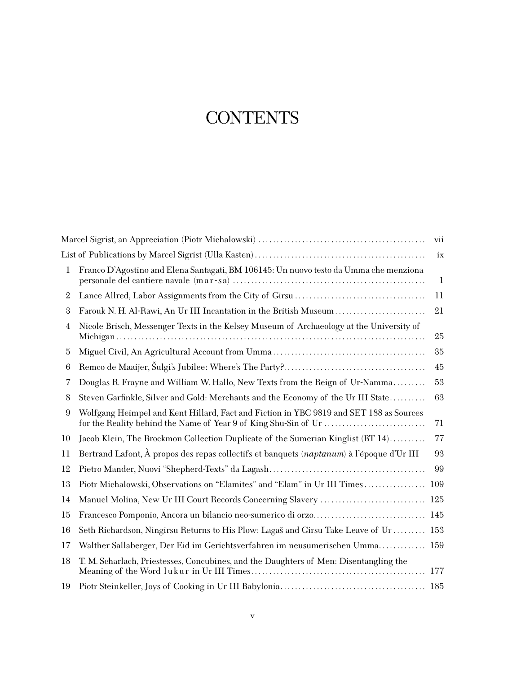## **CONTENTS**

|    |                                                                                           | vii          |
|----|-------------------------------------------------------------------------------------------|--------------|
|    |                                                                                           | ix           |
| 1  | Franco D'Agostino and Elena Santagati, BM 106145: Un nuovo testo da Umma che menziona     | $\mathbf{1}$ |
| 2  |                                                                                           | 11           |
| 3  | Farouk N. H. Al-Rawi, An Ur III Incantation in the British Museum                         | 21           |
| 4  | Nicole Brisch, Messenger Texts in the Kelsey Museum of Archaeology at the University of   | 25           |
| 5  |                                                                                           | 35           |
| 6  |                                                                                           | 45           |
| 7  | Douglas R. Frayne and William W. Hallo, New Texts from the Reign of Ur-Namma              | 53           |
| 8  | Steven Garfinkle, Silver and Gold: Merchants and the Economy of the Ur III State          | 63           |
| 9  | Wolfgang Heimpel and Kent Hillard, Fact and Fiction in YBC 9819 and SET 188 as Sources    | 71           |
| 10 | Jacob Klein, The Brockmon Collection Duplicate of the Sumerian Kinglist (BT 14)           | 77           |
| 11 | Bertrand Lafont, À propos des repas collectifs et banquets (naptanum) à l'époque d'Ur III | 93           |
| 12 |                                                                                           | 99           |
| 13 | Piotr Michalowski, Observations on "Elamites" and "Elam" in Ur III Times                  | 109          |
| 14 | Manuel Molina, New Ur III Court Records Concerning Slavery  125                           |              |
| 15 | Francesco Pomponio, Ancora un bilancio neo-sumerico di orzo 145                           |              |
| 16 | Seth Richardson, Ningirsu Returns to His Plow: Lagaš and Girsu Take Leave of Ur  153      |              |
| 17 | Walther Sallaberger, Der Eid im Gerichtsverfahren im neusumerischen Umma                  | 159          |
| 18 | T. M. Scharlach, Priestesses, Concubines, and the Daughters of Men: Disentangling the     | 177          |
| 19 |                                                                                           |              |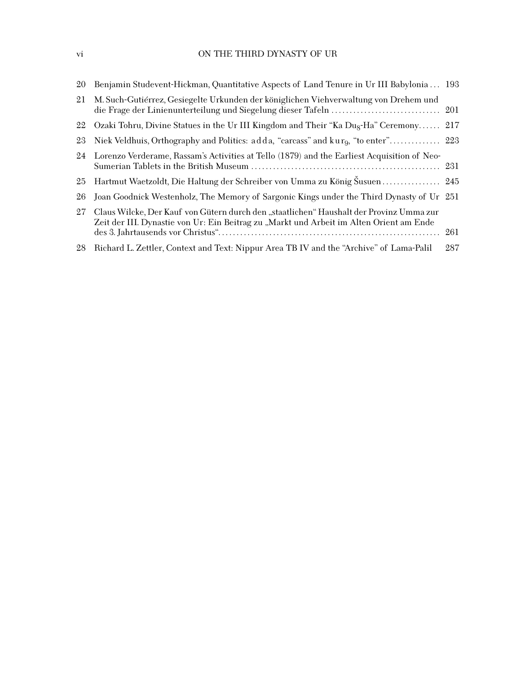## vi ON THE THIRD DYNASTY OF UR

| 20 | Benjamin Studevent-Hickman, Quantitative Aspects of Land Tenure in Ur III Babylonia  193                                                                                           |     |
|----|------------------------------------------------------------------------------------------------------------------------------------------------------------------------------------|-----|
| 21 | M. Such-Gutiérrez, Gesiegelte Urkunden der königlichen Viehverwaltung von Drehem und                                                                                               |     |
| 22 | Ozaki Tohru, Divine Statues in the Ur III Kingdom and Their "Ka Dug-Ha" Ceremony 217                                                                                               |     |
| 23 |                                                                                                                                                                                    |     |
| 24 | Lorenzo Verderame, Rassam's Activities at Tello (1879) and the Earliest Acquisition of Neo-                                                                                        |     |
| 25 | Hartmut Waetzoldt, Die Haltung der Schreiber von Umma zu König Susuen 245                                                                                                          |     |
| 26 | Joan Goodnick Westenholz, The Memory of Sargonic Kings under the Third Dynasty of Ur 251                                                                                           |     |
| 27 | Claus Wilcke, Der Kauf von Gütern durch den "staatlichen" Haushalt der Provinz Umma zur<br>Zeit der III. Dynastie von Ur: Ein Beitrag zu "Markt und Arbeit im Alten Orient am Ende | 261 |
| 28 | Richard L. Zettler, Context and Text: Nippur Area TB IV and the "Archive" of Lama-Palil                                                                                            | 287 |
|    |                                                                                                                                                                                    |     |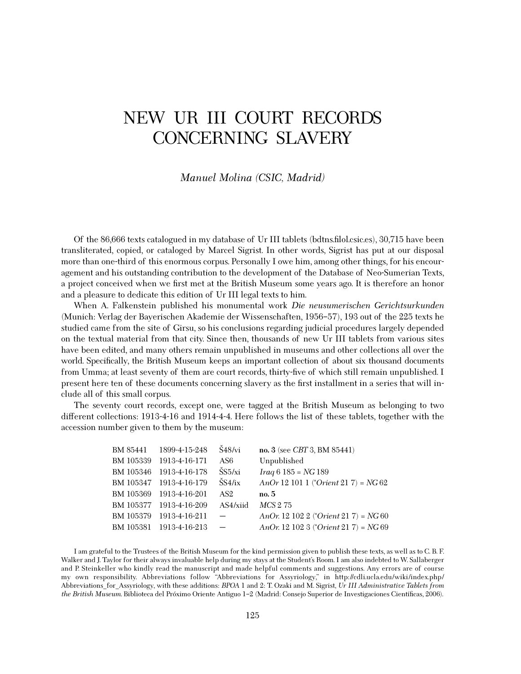## NEW UR III COURT RECORDS CONCERNING SLAVERY

### *Manuel Molina (CSIC, Madrid)*

Of the 86,666 texts catalogued in my database of Ur III tablets (bdtns.˜lol.csic.es), 30,715 have been transliterated, copied, or cataloged by Marcel Sigrist. In other words, Sigrist has put at our disposal more than one-third of this enormous corpus. Personally I owe him, among other things, for his encouragement and his outstanding contribution to the development of the Database of Neo-Sumerian Texts, a project conceived when we first met at the British Museum some years ago. It is therefore an honor and a pleasure to dedicate this edition of Ur III legal texts to him.

When A. Falkenstein published his monumental work *Die neusumerischen Gerichtsurkunden* (Munich: Verlag der Bayerischen Akademie der Wissenschaften, 1956–57), 193 out of the 225 texts he studied came from the site of Girsu, so his conclusions regarding judicial procedures largely depended on the textual material from that city. Since then, thousands of new Ur III tablets from various sites have been edited, and many others remain unpublished in museums and other collections all over the world. Specifically, the British Museum keeps an important collection of about six thousand documents from Umma; at least seventy of them are court records, thirty-five of which still remain unpublished. I present here ten of these documents concerning slavery as the first installment in a series that will include all of this small corpus.

The seventy court records, except one, were tagged at the British Museum as belonging to two different collections: 1913-4-16 and 1914-4-4. Here follows the list of these tablets, together with the accession number given to them by the museum:

| BM 85441 1899-4-15-248  | Š48/vi                   | no. 3 (see CBT 3, BM 85441)                |
|-------------------------|--------------------------|--------------------------------------------|
| BM 105339 1913-4-16-171 | AS6                      | Unpublished                                |
| BM 105346 1913-4-16-178 | $\rm \check S S5/xi$     | $Iraq 6 185 = NG 189$                      |
| BM 105347 1913-4-16-179 | $\rm \check{S}S4/ix$     | An<br>Or 12 101 1 (*Orient 21 7) = $NG 62$ |
| BM 105369 1913-4-16-201 | AS2                      | no. 5                                      |
| BM 105377 1913-4-16-209 | AS4/xiid                 | MCS 275                                    |
|                         |                          |                                            |
| BM 105379 1913-4-16-211 | $\overline{\phantom{m}}$ | AnOr. 12 102 2 (*Orient 21 7) = $NG60$     |
| BM 105381 1913-4-16-213 | $\overline{\phantom{0}}$ | AnOr. 12 102 3 (*Orient 21 7) = $NG69$     |

I am grateful to the Trustees of the British Museum for the kind permission given to publish these texts, as well as to C. B. F. Walker and J. Taylor for their always invaluable help during my stays at the Student's Room. I am also indebted to W. Sallaberger and P. Steinkeller who kindly read the manuscript and made helpful comments and suggestions. Any errors are of course my own responsibility. Abbreviations follow "Abbreviations for Assyriology," in http://cdli.ucla.edu/wiki/index.php/ Abbreviations\_for\_Assyriology, with these additions: *BPOA* 1 and 2: T. Ozaki and M. Sigrist, *Ur III Administrative Tablets from the British Museum.* Biblioteca del Próximo Oriente Antiguo 1–2 (Madrid: Consejo Superior de Investigaciones Científicas, 2006).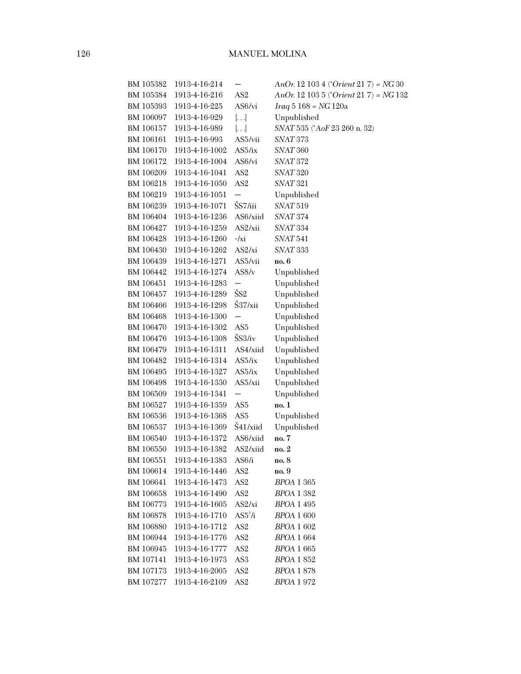| BM 105382 | 1913-4-16-214  |                          | AnOr. 12 103 4 (*Orient 21 7) = $NG30$ |
|-----------|----------------|--------------------------|----------------------------------------|
| BM 105384 | 1913-4-16-216  | AS <sub>2</sub>          | AnOr. 12 103 5 (*Orient 21 7) = NG 132 |
| BM 105393 | 1913-4-16-225  | AS6/vi                   | $Iraq 5 168 = NG 120a$                 |
| BM 106097 | 1913-4-16-929  | $[ \ldots ]$             | Unpublished                            |
| BM 106157 | 1913-4-16-989  | []                       | SNAT 535 (*AoF 23 260 n. 32)           |
| BM 106161 | 1913-4-16-993  | AS5/vii                  | SNAT 373                               |
| BM 106170 | 1913-4-16-1002 | AS5/ix                   | SNAT <sub>360</sub>                    |
| BM 106172 | 1913-4-16-1004 | AS6/vi                   | SNAT 372                               |
| BM 106209 | 1913-4-16-1041 | AS <sub>2</sub>          | SNAT 320                               |
| BM 106218 | 1913-4-16-1050 | AS <sub>2</sub>          | SNAT <sub>321</sub>                    |
| BM 106219 | 1913-4-16-1051 | $\overline{\phantom{0}}$ | Unpublished                            |
| BM 106239 | 1913-4-16-1071 | ŠS7/iii                  | SNAT <sub>519</sub>                    |
| BM 106404 | 1913-4-16-1236 | AS6/xiid                 | <b>SNAT 374</b>                        |
| BM 106427 | 1913-4-16-1259 | AS2/xii                  | SNAT <sub>334</sub>                    |
| BM 106428 | 1913-4-16-1260 | $-\frac{1}{x}$           | SNAT <sub>541</sub>                    |
| BM 106430 | 1913-4-16-1262 | AS2/xi                   | SNAT <sub>333</sub>                    |
| BM 106439 | 1913-4-16-1271 | AS5/vii                  | no. 6                                  |
| BM 106442 | 1913-4-16-1274 | AS8/v                    | Unpublished                            |
| BM 106451 | 1913-4-16-1283 | $\overline{\phantom{0}}$ | Unpublished                            |
| BM 106457 | 1913-4-16-1289 | ŠS <sub>2</sub>          | Unpublished                            |
| BM 106466 | 1913-4-16-1298 | Š37/xii                  | Unpublished                            |
| BM 106468 | 1913-4-16-1300 | —                        | Unpublished                            |
| BM 106470 | 1913-4-16-1302 | AS <sub>5</sub>          | Unpublished                            |
| BM 106476 | 1913-4-16-1308 | ŠS3/iv                   | Unpublished                            |
| BM 106479 | 1913-4-16-1311 | AS4/xiid                 | Unpublished                            |
| BM 106482 | 1913-4-16-1314 | AS5/ix                   | Unpublished                            |
| BM 106495 | 1913-4-16-1327 | AS5/ix                   | Unpublished                            |
| BM 106498 | 1913-4-16-1330 | AS5/xii                  | Unpublished                            |
| BM 106509 | 1913-4-16-1341 | —                        | Unpublished                            |
| BM 106527 | 1913-4-16-1359 | AS <sub>5</sub>          | no. 1                                  |
| BM 106536 | 1913-4-16-1368 | AS <sub>5</sub>          | Unpublished                            |
| BM 106537 | 1913-4-16-1369 | Š41/xiid                 | Unpublished                            |
| BM 106540 | 1913-4-16-1372 | AS6/xiid                 | no. 7                                  |
| BM 106550 | 1913-4-16-1382 | AS2/xiid                 | no. 2                                  |
| BM 106551 | 1913-4-16-1383 | AS6/i                    | no. 8                                  |
| BM 106614 | 1913-4-16-1446 | AS <sub>2</sub>          | no. 9                                  |
| BM 106641 | 1913-4-16-1473 | AS <sub>2</sub>          | <b>BPOA 1 365</b>                      |
| BM 106658 | 1913-4-16-1490 | AS2                      | BPOA 1 382                             |
| BM 106773 | 1913-4-16-1605 | AS2/xi                   | <b>BPOA 1 495</b>                      |
| BM 106878 | 1913-4-16-1710 | AS5 <sup>2</sup> /i      | <b>BPOA 1 600</b>                      |
| BM 106880 | 1913-4-16-1712 | AS <sub>2</sub>          | BPOA 1 602                             |
| BM 106944 | 1913-4-16-1776 | AS <sub>2</sub>          | <b>BPOA 1 664</b>                      |
| BM 106945 | 1913-4-16-1777 | AS <sub>2</sub>          | <i>BPOA</i> 1 665                      |
| BM 107141 | 1913-4-16-1973 | AS3                      | BPOA 1 852                             |
| BM 107173 | 1913-4-16-2005 | AS <sub>2</sub>          | <b>BPOA 1 878</b>                      |
| BM 107277 | 1913-4-16-2109 | AS2                      | BPOA 1 972                             |
|           |                |                          |                                        |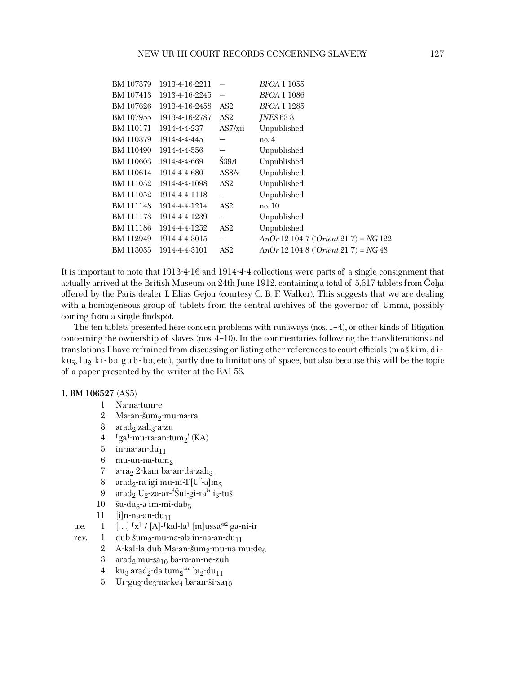| BM 107379 | 1913-4-16-2211 |                          | BPOA 1 1055                               |
|-----------|----------------|--------------------------|-------------------------------------------|
| BM 107413 | 1913-4-16-2245 |                          | <i>BPOA</i> 1 1086                        |
| BM 107626 | 1913-4-16-2458 | AS2                      | <i>BPOA</i> 1 1285                        |
| BM 107955 | 1913-4-16-2787 | AS2                      | $INES 633$                                |
| BM 110171 | 1914-4-4-237   | AS7/xii                  | Unpublished                               |
| BM 110379 | 1914-4-4-445   |                          | no. 4                                     |
| BM 110490 | 1914-4-4-556   |                          | Unpublished                               |
| BM 110603 | 1914-4-4-669   | $\dot{S}39/i$            | Unpublished                               |
| BM 110614 | 1914-4-4-680   | $\rm AS8/v$              | Unpublished                               |
| BM 111032 | 1914-4-4-1098  | AS2                      | Unpublished                               |
| BM 111052 | 1914-4-4-1118  | —                        | Unpublished                               |
| BM 111148 | 1914-4-4-1214  | AS2                      | no. 10                                    |
| BM 111173 | 1914-4-4-1239  | $\overline{\phantom{0}}$ | Unpublished                               |
| BM 111186 | 1914-4-4-1252  | AS2                      | Unpublished                               |
| BM 112949 | 1914-4-4-3015  | $\overline{\phantom{0}}$ | An<br>Or 12 104 7 (*Orient 21 7) = NG 122 |
| BM 113035 | 1914-4-4-3101  | AS2                      | An<br>Or 12 104 8 (*Orient 21 7) = NG 48  |

It is important to note that 1913-4-16 and 1914-4-4 collections were parts of a single consignment that actually arrived at the British Museum on 24th June 1912, containing a total of 5,617 tablets from Gōḫa offered by the Paris dealer I. Elias Gejou (courtesy C. B. F. Walker). This suggests that we are dealing with a homogeneous group of tablets from the central archives of the governor of Umma, possibly coming from a single findspot.

The ten tablets presented here concern problems with runaways (nos.  $1-4$ ), or other kinds of litigation concerning the ownership of slaves (nos. 4–10). In the commentaries following the transliterations and translations I have refrained from discussing or listing other references to court officials (m a skim, diku<sub>5</sub>, lu<sub>2</sub> ki-ba gub-ba, etc.), partly due to limitations of space, but also because this will be the topic of a paper presented by the writer at the RAI 53.

#### **1. BM 106527** (AS5)

- 1 Na-na-tum-e
- 2 Ma-an-šum<sub>2</sub>-mu-na-ra<br>3 arad<sub>2</sub> zah<sub>3</sub>-a-zu
- $\text{arad}_2$  zah $_3$ -a-zu
- 4  $\log a$ -mu-ra-an-tum<sub>2</sub>' (KA)
- $5$  in-na-an-du<sub>11</sub><br> $6$  mu-un-na-tun
- 6 mu-un-na-tum<sub>2</sub><br>7 a-ra<sub>2</sub> 2-kam ba-a
- 7 a-ra<sub>2</sub> 2-kam ba-an-da-zah<sub>3</sub><br>8 arad<sub>2</sub>-ra igi mu-ni-T[U<sup>2</sup>-a]r
- 8 arad<sub>2</sub>-ra igi mu-ni-T[U<sup>?</sup>-a]m<sub>3</sub>
- 9 arad<sub>2</sub> U<sub>2</sub>-za-ar-<sup>d</sup>Šul-gi-ra<sup>ki</sup> i<sub>3</sub>-tuš<br>0 šu-du-c9 im-mi-deb
- 10 šu-du<sub>8</sub>-a im-mi-dab<sub>5</sub><br>11 [i]n-na-an-du<sub>11</sub>
- $[i]$ n-na-an-du<sub>11</sub>
- u.e.  $1 \quad [\ldots]$  <sup>[x]</sup> / [A]-<sup>[ka]-la<sup>1</sup> [m]ussa<sup>sa2</sup> ga-ni-ir</sup>
- rev. 1 dub šum<sub>2</sub>-mu-na-ab in-na-an-du<sub>11</sub><br>2 A-kal-la dub Ma-an-šum<sub>2</sub>-mu-na n
	- 2 A-kal-la dub Ma-an-šum<sub>2</sub>-mu-na mu-de<sub>6</sub><br>3 aradə mu-sa10 ba-ra-an-ne-zuh
	- 3 arad<sub>2</sub> mu-sa<sub>10</sub> ba-ra-an-ne-zuh<br>4 ku<sub>2</sub> arad<sub>2</sub>-da tum<sub>2</sub><sup>um</sup> bi<sub>2</sub>-du<sub>11</sub>
	- 4 ku $_3$  arad $_2$ -da tum $_2$ <sup>um</sup> bi $_2$ -du $_{11}$
	- 5 Ur-gu<sub>2</sub>-de<sub>3</sub>-na-ke<sub>4</sub> ba-an-ši-sa<sub>10</sub>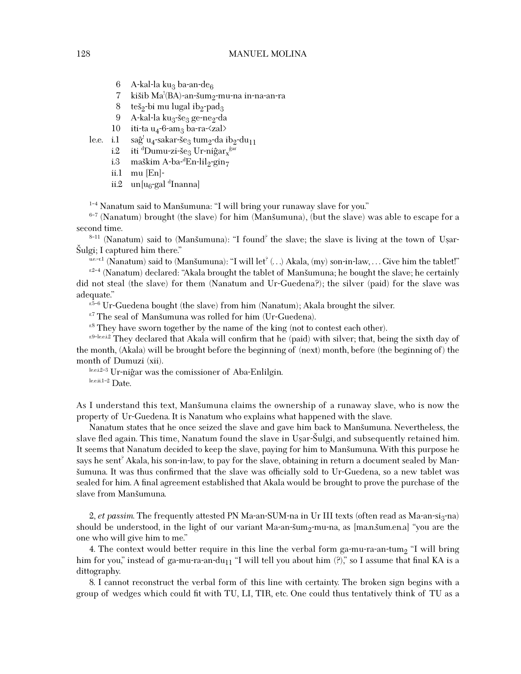6 A-kal-la ku<sub>3</sub> ba-an-de<sub>6</sub><br>7 kišib Ma<sup>{</sup>(BA)-an-šum<sub>o</sub>

- 7 kišib Ma'(BA)-an-šum<sub>2</sub>-mu-na in-na-an-ra<br>8 koš-bi mu lugal ib-apad
- 8 teš<sub>2</sub>-bi mu lugal ib<sub>2</sub>-pad<sub>3</sub>
- 9 A-kal-la ku<sub>3</sub>-še<sub>3</sub> ge-ne<sub>2</sub>-da
- 10 iti-ta u<sub>4</sub>-6-am<sub>3</sub> ba-ra- $\langle$ zal $\rangle$
- $le. i.1$ <sup>!</sup> u<sub>4</sub>-sakar-še<sub>3</sub> tum<sub>2</sub>-da ib<sub>2</sub>-du<sub>11</sub><br>'Dumu zi še . Ur niĝer <sup>ĝar</sup>
	- i.2 iti <sup>d</sup>Dumu-zi-še<sub>3</sub> Ur-niĝar<sub>x</sub><sup>ĝar</sup><br>i.<sup>3</sup> moškim A-bo-<sup>d</sup>En-lila-gina
	- i.3 maškim A-ba-<sup>d</sup>En-lil<sub>2</sub>-gin<sub>7</sub><br>ii 1 mu [En]-
	- ii.1 mu [En]-
	- ii.2 un[u<sub>6</sub>-gal <sup>d</sup>Inanna]

<sup>1-4</sup> Nanatum said to Manšumuna: "I will bring your runaway slave for you."<br><sup>6-7</sup> (Nanatum) brought (the slave) for him (Manšumuna), (but the slave) was able to escape for a second time.

<sup>8-11</sup> (Nanatum) said to (Manšumuna): "I found<sup>?</sup> the slave; the slave is living at the town of Usar-Šulgi; I captured him there."<br>  $\frac{\text{Euler}}{\text{Euler}}$  (Nanatum) said to (Manšumuna): "I will let<sup>?</sup> (...) Akala, (my) son-in-law, ... Give him the tablet!"

 $n^{2-4}$  (Nanatum) declared: "Akala brought the tablet of Manšumuna; he bought the slave; he certainly did not steal (the slave) for them (Nanatum and Ur-Guedena?); the silver (paid) for the slave was adequate."

 $r^{5-6}$  Ur-Guedena bought (the slave) from him (Nanatum); Akala brought the silver.

<sup>r.7</sup> The seal of Manšumuna was rolled for him (Ur-Guedena).

 $r<sup>8</sup>$  They have sworn together by the name of the king (not to contest each other).

r.9-leei.2 They declared that Akala will confirm that he (paid) with silver; that, being the sixth day of the month, (Akala) will be brought before the beginning of (next) month, before (the beginning of) the month of Dumuzi (xii).

lee.i.2-3 Ur-niĝar was the comissioner of Aba-Enlilgin. le.e.ii.1–2 Date.

As I understand this text, Mansumuna claims the ownership of a runaway slave, who is now the property of Ur-Guedena. It is Nanatum who explains what happened with the slave.

Nanatum states that he once seized the slave and gave him back to Mansumuna. Nevertheless, the slave fled again. This time, Nanatum found the slave in Uşar-Sulgi, and subsequently retained him. It seems that Nanatum decided to keep the slave, paying for him to Mansumuna. With this purpose he says he sent? Akala, his son-in-law, to pay for the slave, obtaining in return a document sealed by Manšumuna. It was thus confirmed that the slave was officially sold to Ur-Guedena, so a new tablet was sealed for him. A final agreement established that Akala would be brought to prove the purchase of the slave from Mansumuna.

2, *et passim*. The frequently attested PN Ma-an-SUM-na in Ur III texts (often read as Ma-an-si<sub>3</sub>-na) should be understood, in the light of our variant Ma-an-šum<sub>2</sub>-mu-na, as [ma.n.sum.en.a] "you are the one who will give him to me."

4. The context would better require in this line the verbal form ga-mu-ra-an-tum<sub>2</sub> "I will bring him for you," instead of ga-mu-ra-an-du<sub>11</sub> "I will tell you about him  $(?)$ ", so I assume that final KA is a dittography.

8. I cannot reconstruct the verbal form of this line with certainty. The broken sign begins with a group of wedges which could fit with TU, LI, TIR, etc. One could thus tentatively think of TU as a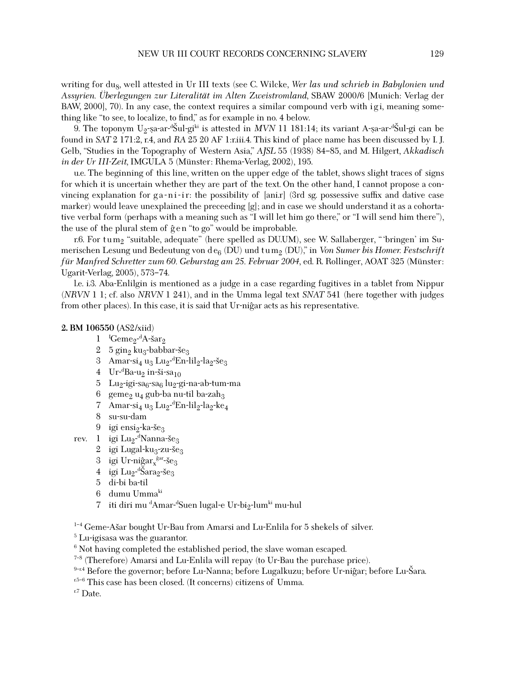writing for du<sub>8</sub>, well attested in Ur III texts (see C. Wilcke, *Wer las und schrieb in Babylonien und Assyrien. Überlegungen zur Literalität im Alten Zweistromland*, SBAW 2000/6 [Munich: Verlag der BAW, 2000], 70). In any case, the context requires a similar compound verb with igi, meaning something like "to see, to localize, to find," as for example in no. 4 below.

9. The toponym U<sub>2</sub>-sa-ar-<sup>d</sup>Sul-gi<sup>ki</sup> is attested in *MVN* 11 181:14; its variant A-sa-ar-<sup>d</sup>Sul-gi can be<br>nd in S4T9 171.9, r.4, and B4.95.90 AE Lriji 4. This kind of place name has been discussed by LI found in *SAT* 2 171:2, r.4, and *RA* 25 20 AF 1:r.iii.4. This kind of place name has been discussed by I. J. Gelb, "Studies in the Topography of Western Asia," *AJSL* 55 (1938) 84–85, and M. Hilgert, *Akkadisch in der Ur III-Zeit*, IMGULA 5 (Münster: Rhema-Verlag, 2002), 195.

u.e. The beginning of this line, written on the upper edge of the tablet, shows slight traces of signs for which it is uncertain whether they are part of the text. On the other hand, I cannot propose a convincing explanation for ga-ni-ir: the possibility of  $\lceil \text{anir} \rceil$  (3rd sg. possessive suffix and dative case marker) would leave unexplained the preceeding [g]; and in case we should understand it as a cohortative verbal form (perhaps with a meaning such as "I will let him go there," or "I will send him there"), the use of the plural stem of  $\hat{g}$  en "to go" would be improbable.

r.6. For tum<sub>2</sub> "suitable, adequate" (here spelled as DU.UM), see W. Sallaberger, " 'bringen' im Sumerischen Lesung und Bedeutung von d e6 (DU) und t u m2 (DU)," in *Von Sumer bis Homer. Festschrift <sup>f</sup>ür Manfred Schretter zum 60. Geburstag am 25. Februar 2004*, ed. R. Rollinger, AOAT 325 (Münster: Ugarit-Verlag, 2005), 573–74.

l.e. i.3. Aba-Enlilgin is mentioned as a judge in a case regarding fugitives in a tablet from Nippur (*NRVN* 1 1; cf. also *NRVN* 1 241), and in the Umma legal text *SNAT* 541 (here together with judges from other places). In this case, it is said that Ur-nigar acts as his representative.

#### **2. BM 106550 (**AS2/xiid)

- $\frac{1}{2}$   $\frac{1}{5}$   $\frac{1}{2}$   $\frac{1}{2}$   $\frac{1}{2}$   $\frac{1}{2}$   $\frac{1}{2}$   $\frac{1}{2}$   $\frac{1}{2}$   $\frac{1}{2}$   $\frac{1}{2}$   $\frac{1}{2}$   $\frac{1}{2}$   $\frac{1}{2}$   $\frac{1}{2}$   $\frac{1}{2}$   $\frac{1}{2}$   $\frac{1}{2}$   $\frac{1}{2}$   $\frac{1}{2}$   $\frac{1}{2}$   $\frac{1}{2}$
- 2 5 gin<sub>2</sub> ku<sub>3</sub>-babbar-še<sub>3</sub>
- 3 Amar-si<sub>4</sub> u<sub>3</sub> Lu<sub>2</sub>-<sup>d</sup>En-lil<sub>2</sub>-la<sub>2</sub>-še<sub>3</sub><br>4 LL-<sup>d</sup>Bo-u- in-ši-sa
- 4 Ur<sup>-d</sup>Ba-u<sub>2</sub> in-ši-sa<sub>10</sub><br>5 Lucisi-sansa kurs
- 5 Lu<sub>2</sub>-igi-sa<sub>6</sub>-sa<sub>6</sub> lu<sub>2</sub>-gi-na-ab-tum-ma
- 6 geme<sub>2</sub> u<sub>4</sub> gub-ba nu-til ba-zah<sub>3</sub>
- 7 Amar-si<sub>4</sub> u<sub>3</sub> Lu<sub>2</sub>-<sup>d</sup>En-lil<sub>2</sub>-la<sub>2</sub>-ke<sub>4</sub>
- 8 su-su-dam
- 9 igi ensi $2$ -ka-še $3$
- rev. 1 igi Lu<sub>2</sub>-<sup>d</sup>Nanna-še<sub>3</sub><br>2 igi Lugaldu sanče
	- 2 igi Lugal-ku $3$ -zu-še $3$
	- 3 igi Ur-niĝar $x^{\text{gar}-\text{seg}}_3$
	- 4 igi Lu<sub>2</sub>-<sup>d</sup>Šara<sub>2</sub>-še<sub>3</sub><br>5 di-bi bo-til
	- 5 di-bi ba-til
	- 6 dumu Ummaki
	- 7 iti diri mu <sup>d</sup>Amar-<sup>d</sup>Suen lugal-e Ur-bi<sub>2</sub>-lum<sup>ki</sup> mu-hul

<sup>1-4</sup> Geme-Ašar bought Ur-Bau from Amarsi and Lu-Enlila for 5 shekels of silver.

<sup>5</sup> Lu-igisasa was the guarantor.

 $^6$  Not having completed the established period, the slave woman escaped.

7–8 (Therefore) Amarsi and Lu-Enlila will repay (to Ur-Bau the purchase price).

 $9-r^4$  Before the governor; before Lu-Nanna; before Lugalkuzu; before Ur-niĝar; before Lu-Šara.  $r^5$ –6 This case has been closed. (It concerns) citizens of Umma.

 $E<sup>r.7</sup>$  Date.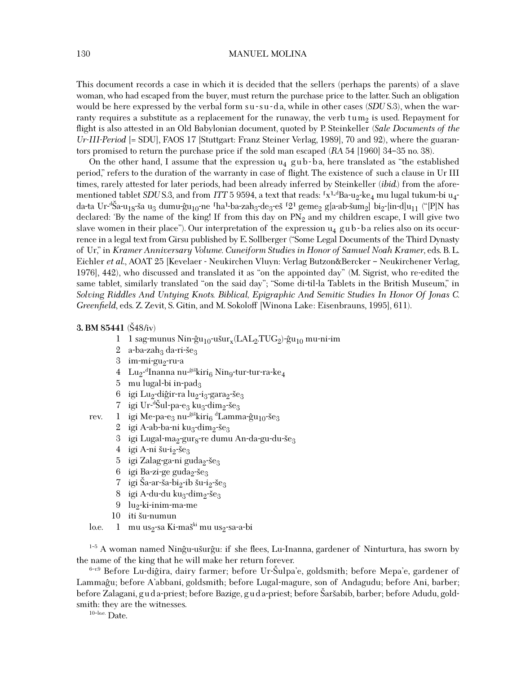#### 130 MANUEL MOLINA

This document records a case in which it is decided that the sellers (perhaps the parents) of a slave woman, who had escaped from the buyer, must return the purchase price to the latter. Such an obligation would be here expressed by the verbal form su-su-da, while in other cases (*SDU* S.3), when the warranty requires a substitute as a replacement for the runaway, the verb tum<sub>2</sub> is used. Repayment for flight is also attested in an Old Babylonian document, quoted by P. Steinkeller *(Sale Documents of the Ur-III-Period* [= SDU], FAOS 17 [Stuttgart: Franz Steiner Verlag, 1989], 70 and 92), where the guarantors promised to return the purchase price if the sold man escaped (*RA* 54 [1960] 34–35 no. 38).

On the other hand, I assume that the expression  $u_4$  gub-ba, here translated as "the established period," refers to the duration of the warranty in case of flight. The existence of such a clause in Ur III times, rarely attested for later periods, had been already inferred by Steinkeller (*ibid*.) from the aforementioned tablet *SDU* S.3, and from *ITT* 5 9594, a text that reads: <sup>r</sup>x<sup>1.4</sup>Ba-u<sub>2</sub>-ke<sub>4</sub> mu lugal tukum-bi u<sub>4</sub>da-ta Ur-<sup>d</sup>Sa-u<sub>18</sub>-ša u<sub>3</sub> dumu-ĝu<sub>10</sub>-ne <sup>r</sup>ha<sup>1</sup>-ba-zah<sub>3</sub>-de<sub>3</sub>-eš <sup>r</sup>2º geme<sub>2</sub> g[a-ab-šum<sub>2</sub>] bi<sub>2</sub>-[in-d]u<sub>11</sub> ("[P]N has<br>deelered: 'Bu the name of the king! If from this day on PN- and my ebildren essano I will gi declared: 'By the name of the king! If from this day on  $PN<sub>2</sub>$  and my children escape, I will give two slave women in their place"). Our interpretation of the expression  $u_4$  gub-ba relies also on its occurrence in a legal text from Girsu published by E. Sollberger ("Some Legal Documents of the Third Dynasty of Ur," in *Kramer Anniversary Volume. Cuneiform Studies in Honor of Samuel Noah Kramer*, eds. B. L. Eichler *et al*., AOAT 25 [Kevelaer - Neukirchen Vluyn: Verlag Butzon&Bercker – Neukirchener Verlag, 1976], 442), who discussed and translated it as "on the appointed day" (M. Sigrist, who re-edited the same tablet, similarly translated "on the said day"; "Some di-til-la Tablets in the British Museum," in *Solving Riddles And Untying Knots. Biblical, Epigraphic And Semitic Studies In Honor Of Jonas C. Greenfield*, eds. Z. Zevit, S. Gitin, and M. Sokoloff [Winona Lake: Eisenbrauns, 1995], 611).

#### **3. BM 85441** (Š48/iv)

- 1 1 sag-munus Nin-ĝu<sub>10</sub>-ušur<sub>x</sub>(LAL<sub>2</sub>.TUG<sub>2</sub>)-ĝu<sub>10</sub> mu-ni-im
- 2 a-ba-zah<sub>3</sub> da-ri-še<sub>3</sub>
- $3$  im-mi-gu<sub>2</sub>-ru-a
- $4$   $\,$   $\rm{Lu_2^{\textrm{-d}}}$ Inanna nu-<sup>ĝiš</sup>kiri $_6$  Nin $_9$ -tur-tur-ra-k $\rm{e_4}$
- 5 mu lugal-bi in-pad<sub>3</sub>
- 6 igi Lu<sub>2</sub>-diĝir-ra lu<sub>2</sub>-i<sub>3</sub>-gara<sub>2</sub>-še<sub>3</sub>
- 7 igi Ur-<sup>d</sup>Šul-pa-e<sub>3</sub> ku<sub>3</sub>-dim<sub>2</sub>-še<sub>3</sub><br>1 igi Mo-pa-e4 nu <sup>ĝiš</sup>kiris <sup>d</sup>I amm
- rev.  $1$  igi Me-pa-e<sub>3</sub> nu-<sup>giš</sup>kiri<sub>6</sub> <sup>d</sup>Lamma-ĝu<sub>10</sub>-še<sub>3</sub><br>2 igi A-ob-bo-ni ku-dima-čo-
	- 2 igi A-ab-ba-ni ku<sub>3</sub>-dim<sub>2</sub>-še<sub>3</sub>
	- 3 igi Lugal-ma<sub>2</sub>-gur<sub>8</sub>-re dumu An-da-gu-du-še<sub>3</sub>
	- 4 igi A-ni šu-i<sub>2</sub>-še<sub>3</sub>
	- 5 igi Zalag-ga-ni guda<sub>2</sub>-še<sub>3</sub>
	- 6 igi Ba-zi-ge guda $_2$ -še $_3$ <br>7 igi Ša-ar-ša-bi $_2$ -ib šu-i
	- 7 igi Ša-ar-ša-bi<sub>2</sub>-ib šu-i<sub>2</sub>-še<sub>3</sub><br>8 igi A-du-du ku<sub>2</sub>-dim<sub>2</sub>-še<sub>2</sub>
	- igi A-du-du ku $_3$ -dim $_2$ -še $_3$
	- 9  $\ln_2$ -ki-inim-ma-me
	- 10 iti šu-numun<br>1 mu us<sub>2</sub>-sa Ki-
- lo.e. 1 mu us<sub>2</sub>-sa Ki-maš<sup>ki</sup> mu us<sub>2</sub>-sa-a-bi

<sup>1-5</sup> A woman named Ningu-usurgu: if she flees, Lu-Inanna, gardener of Ninturtura, has sworn by the name of the king that he will make her return forever.

<sup>6-r.9</sup> Before Lu-diĝira, dairy farmer; before Ur-Šulpa'e, goldsmith; before Mepa'e, gardener of Lammaĝu; before A'abbani, goldsmith; before Lugal-magure, son of Andagudu; before Ani, barber; before Zalagani, gud a-priest; before Bazige, gud a-priest; before Šaršabib, barber; before Adudu, goldsmith: they are the witnesses.

 $10$ -lo.e. Date.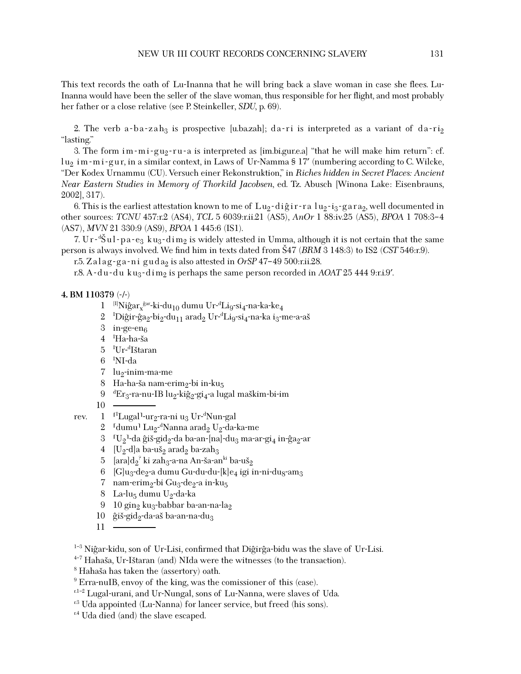This text records the oath of Lu-Inanna that he will bring back a slave woman in case she flees. Lu-Inanna would have been the seller of the slave woman, thus responsible for her flight, and most probably her father or a close relative (see P. Steinkeller, *SDU*, p. 69).

2. The verb a-ba-zah<sub>3</sub> is prospective [u.ba.zah]; da-ri is interpreted as a variant of da-ri<sub>2</sub> "lasting."

3. The form im-mi-gu<sub>2</sub>-ru-a is interpreted as [im.bi.gur.e.a] "that he will make him return": cf.  $\ln_2$  im-mi-gur, in a similar context, in Laws of Ur-Namma § 17' (numbering according to C. Wilcke, "Der Kodex Urnammu (CU). Versuch einer Rekonstruktion," in *Riches hidden in Secret Places: Ancient Near Eastern Studies in Memory of Thorkild Jacobsen*, ed. Tz. Abusch [Winona Lake: Eisenbrauns, 2002], 317).

6. This is the earliest attestation known to me of  $Lu_2$ -digir-ra  $lu_2$ -i<sub>3</sub>-gara<sub>2</sub>, well documented in other sources: *TCNU* 457:r.2 (AS4), *TCL* 5 6039:r.ii.21 (AS5), *AnOr* 1 88:iv.25 (AS5), *BPOA* 1 708:3–4 (AS7), *MVN* 21 330:9 (AS9), *BPOA* 1 445:6 (IS1).

7. U r-<sup>d</sup>Sul-pa-e<sub>3</sub> ku<sub>3</sub>-dim<sub>2</sub> is widely attested in Umma, although it is not certain that the same<br>conjis always involved We find him in toyte dated from S47 (BBM 3,148,3) to IS2 (CST 546,n0) person is always involved. We find him in texts dated from  $\frac{547}{$ *(BRM* $3 148:3) to IS2$ *(CST* $546:r.9).$ 

r.5. Zalag-ga-ni guda<sub>2</sub> is also attested in OrSP 47-49 500:r.ii.28.

r.8. A - du - du k u<sub>3</sub> - dim<sub>2</sub> is perhaps the same person recorded in *AOAT* 25 444 9:r.i.9'.

#### **4. BM 110379** (-/-)

- $1$   $^{[1]}$ Niĝar $_x$ <sup>ĝar</sup>-ki-du<sub>10</sub> dumu Ur-<sup>d</sup>Li<sub>9</sub>-si<sub>4</sub>-na-ka-ke<sub>4</sub>
- 2 <sup>I</sup>Diĝir-ĝa<sub>2</sub>-bi<sub>2</sub>-du<sub>11</sub> arad<sub>2</sub> Ur-<sup>d</sup>Li<sub>9</sub>-si<sub>4</sub>-na-ka i<sub>3</sub>-me-a-aš<br><sup>3</sup> ingo-on
- 3 in-ge-en $_6$
- 4 <sup>I</sup>Ha-ha-ša<br>5 <sup>I</sup>Ur.<sup>d</sup>Ičter
- 5 <sup>I</sup>Ur-<sup>d</sup>Ištaran<br>6 <sup>I</sup>NL-de
- 6 <sup>I</sup> NI-da
- $7 \;$ lu<sub>2</sub>-inim-ma-me
- 8 Ha-ha-ša nam-erim<sub>2</sub>-bi in-ku<sub>5</sub>
- 9 <sup>d</sup> Er3-ra-nu-IB lu2-kig^ 2-gi4-a lugal maskim-bi-im

10

- rev. 1 <sup>rI</sup>Lugal<sup>1</sup>-ur<sub>2</sub>-ra-ni u<sub>3</sub> Ur-<sup>d</sup>Nun-gal
	- 2 <sup>r</sup>dumu<sup>1</sup> Lu<sub>2</sub>-<sup>d</sup>Nanna arad<sub>2</sub> U<sub>2</sub>-da-ka-me
	- 3  $\sigma$ U<sub>2</sub><sup>1</sup>-da ĝiš-gid<sub>2</sub>-da ba-an-[na]-du<sub>3</sub> ma-ar-gi<sub>4</sub> in-ĝa<sub>2</sub>-ar
	- 4  $[U_2-d]$ a ba-uš<sub>2</sub> arad<sub>2</sub> ba-zah<sub>3</sub>
	- 5 [ara]d2° ki zah<sub>3</sub>-a-na An-ša-an<sup>ki</sup> ba-uš<sub>2</sub><br>6 [Clu-edo-edumu Cu-du-du-lulo-igi i
	- 6 [G]u<sub>3</sub>-de<sub>2</sub>-a dumu Gu-du-du-[k]e<sub>4</sub> igi in-ni-du<sub>8</sub>-am<sub>3</sub>
	- 7 nam-erim<sub>2</sub>-bi Gu<sub>3</sub>-de<sub>2</sub>-a in-ku<sub>5</sub>
	- 8 La-lu<sub>5</sub> dumu U<sub>2</sub>-da-ka
	- 9 10 gin<sub>2</sub> ku<sub>3</sub>-babbar ba-an-na-la<sub>2</sub>
	- 10 ĝiš-gid<sub>2</sub>-da-aš ba-an-na-du<sub>3</sub>
	- 11
- <sup>1-3</sup> Niĝar-kidu, son of Ur-Lisi, confirmed that Diĝirĝa-bidu was the slave of Ur-Lisi.
- $4-7$  Hahaša, Ur-Ištaran (and) NIda were the witnesses (to the transaction).
- $<sup>8</sup>$  Hahaša has taken the (assertory) oath.</sup>
- $9$  Erra-nuIB, envoy of the king, was the comissioner of this (case).
- r.1–2 Lugal-urani, and Ur-Nungal, sons of Lu-Nanna, were slaves of Uda.
- $r<sup>3</sup>$  Uda appointed (Lu-Nanna) for lancer service, but freed (his sons).
- <sup>r.4</sup> Uda died (and) the slave escaped.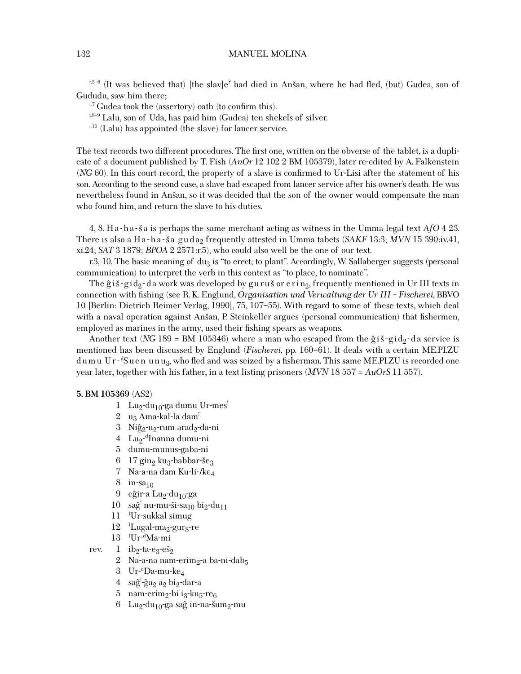$r.5-6$  (It was believed that) [the slav]e<sup>?</sup> had died in Anšan, where he had fled, (but) Gudea, son of Gududu, saw him there;

 $r^2$  Gudea took the (assertory) oath (to confirm this).

 $r^{8-9}$  Lalu, son of Uda, has paid him (Gudea) ten shekels of silver.

 $r^{10}$  (Lalu) has appointed (the slave) for lancer service.

The text records two different procedures. The first one, written on the obverse of the tablet, is a duplicate of a document published by T. Fish (*AnOr* 12 102 2 BM 105379), later re-edited by A. Falkenstein (*NG* 60). In this court record, the property of a slave is confirmed to Ur-Lisi after the statement of his son. According to the second case, a slave had escaped from lancer service after his owner's death. He was nevertheless found in Ansan, so it was decided that the son of the owner would compensate the man who found him, and return the slave to his duties.

4, 8. Ha-ha-s a is perhaps the same merchant acting as witness in the Umma legal text *AfO* 4 23. There is also a Ha-ha-s<sup>a</sup> guda<sub>2</sub> frequently attested in Umma tabets (*SAKF* 13:3; *MVN* 15 390:iv.41, xi.24; *SAT* 3 1879; *BPOA* 2 2571:r.5), who could also well be the one of our text.

r.3, 10. The basic meaning of du<sub>3</sub> is "to erect; to plant". Accordingly, W. Sallaberger suggests (personal communication) to interpret the verb in this context as "to place, to nominate".

The  $\hat{g}$ is-gid<sub>2</sub> -da work was developed by gurus or erin<sub>2</sub>, frequently mentioned in Ur III texts in connection with ˜shing (see R. K. Englund, *Organisation und Verwaltung der Ur III – Fischerei*, BBVO 10 [Berlin: Dietrich Reimer Verlag, 1990], 75, 107–55). With regard to some of these texts, which deal with a naval operation against Anšan, P. Steinkeller argues (personal communication) that fishermen, employed as marines in the army, used their fishing spears as weapons.

Another text (*NG* 189 = BM 105346) where a man who escaped from the  $\hat{g}$  is-gid<sub>2</sub>-da service is mentioned has been discussed by Englund (*Fischerei*, pp. 160–61). It deals with a certain ME.PI.ZU dumu Ur-<sup>d</sup>Suen unu<sub>3</sub>, who fled and was seized by a fisherman. This same ME.PI.ZU is recorded one year later, together with his father, in a text listing prisoners (*MVN* 18 557 = *AuOrS* 11 557).

#### **5. BM 105369** (AS2)

- 1 Lu<sub>2</sub>-du<sub>10</sub>-ga dumu Ur-mes<sup>!</sup>
- 2  $u_3$  Ama-kal-la dam<sup>!</sup>
- 3 Niĝ<sub>2</sub>-u<sub>2</sub>-rum arad<sub>2</sub>-da-ni
- 4 Lu<sub>2</sub>-<sup>d</sup>Inanna dumu-ni
- 5 dumu-munus-gaba-ni
- 6 17 gin<sub>2</sub> ku<sub>3</sub>-babbar-še<sub>3</sub>
- 7 Na-a-na dam Ku-li-/ke4
- $8 \text{ in-sa}_{10}$
- 9 eĝir-a Lu<sub>2</sub>-du<sub>10</sub>-ga
- 10 saĝ<sup>1</sup> nu-mu-ši-sa<sub>10</sub> bi<sub>2</sub>-du<sub>11</sub>
- 11 <sup>I</sup> Ur-sukkal simug
- 12 <sup>I</sup>Lugal-ma<sub>2</sub>-gur<sub>8</sub>-re
- 13 <sup>I</sup> Ur-<sup>d</sup> Ma-mi
- rev.  $1$  ib<sub>2</sub>-ta-e<sub>3</sub>-eš<sub>2</sub>
	- 2 Na-a-na nam-erim<sub>2</sub>-a ba-ni-dab<sub>5</sub>
	- 3 Ur-<sup>d</sup> Da-mu-ke4
	- 4 saĝ<sup>1</sup>-ĝa<sub>2</sub> a<sub>2</sub> bi<sub>2</sub>-dar-a
	- 5 nam-erim<sub>2</sub>-bi i<sub>3</sub>-ku<sub>5</sub>-re<sub>6</sub>
	- 6 Lu<sub>2</sub>-du<sub>10</sub>-ga saĝ in-na-šum<sub>2</sub>-mu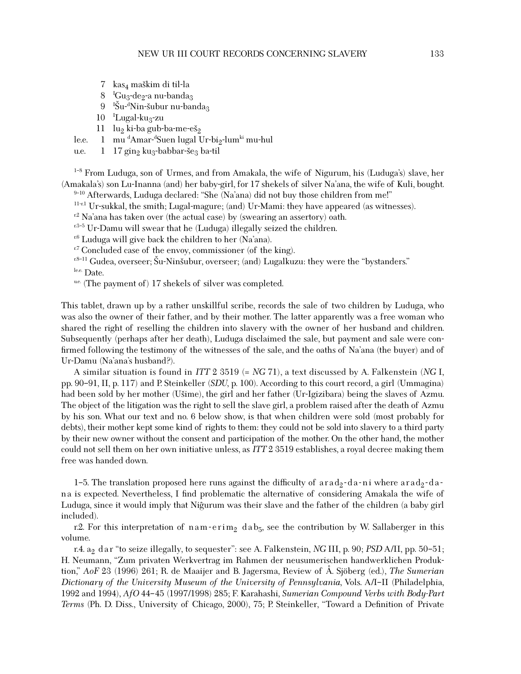- 7 kas<sub>4</sub> maškim di til-la
- 8 <sup>I</sup>  ${}^{1}$ Gu<sub>3</sub>-de<sub>2</sub>-a nu-banda<sub>3</sub>
- 9 <sup>I</sup> Šu-<sup>d</sup>Nin-šubur nu-banda<sub>3</sub><br>Lugal-ku-san
- 10 <sup>I</sup>Lugal-ku<sub>3</sub>-zu
- 11  $\ln_2$  ki-ba gub-ba-me-eš<sub>2</sub><br>1 mu<sup>d</sup>Amar-<sup>d</sup>Suen lugal U
- le.e. 1 mu <sup>d</sup>Amar-<sup>d</sup>Suen lugal Ur-bi<sub>2</sub>-lum<sup>ki</sup> mu-hul

u.e.  $1 \frac{17 \text{gin}_2 \text{ku}_3-\text{babbar-}\xi_{23}}{2 \text{bar-}\xi_{12}}$ 

<sup>1-8</sup> From Luduga, son of Urmes, and from Amakala, the wife of Nigurum, his (Luduga's) slave, her (Amakala's) son Lu-Inanna (and) her baby-girl, for 17 shekels of silver Na'ana, the wife of Kuli, bought.

9-10 Afterwards, Luduga declared: "She (Na'ana) did not buy those children from me!"

 $11-x1$  Ur-sukkal, the smith; Lugal-magure; (and) Ur-Mami: they have appeared (as witnesses).

 $r^2$  Na'ana has taken over (the actual case) by (swearing an assertory) oath.

r.3-5 Ur-Damu will swear that he (Luduga) illegally seized the children.

 $r<sup>6</sup>$  Luduga will give back the children to her (Na'ana).

 $r^7$  Concluded case of the envoy, commissioner (of the king).

r.8-11 Gudea, overseer; Šu-Ninšubur, overseer; (and) Lugalkuzu: they were the "bystanders."

le.e. Date.

u.e. (The payment of)  $17$  shekels of silver was completed.

This tablet, drawn up by a rather unskillful scribe, records the sale of two children by Luduga, who was also the owner of their father, and by their mother. The latter apparently was a free woman who shared the right of reselling the children into slavery with the owner of her husband and children. Subsequently (perhaps after her death), Luduga disclaimed the sale, but payment and sale were con firmed following the testimony of the witnesses of the sale, and the oaths of Na'ana (the buyer) and of Ur-Damu (Na'ana's husband?).

A similar situation is found in *ITT* 2 3519 (= *NG* 71), a text discussed by A. Falkenstein (*NG* I, pp. 90–91, II, p. 117) and P. Steinkeller (*SDU*, p. 100). According to this court record, a girl (Ummagina) had been sold by her mother (Usime), the girl and her father (Ur-Igizibara) being the slaves of Azmu. The object of the litigation was the right to sell the slave girl, a problem raised after the death of Azmu by his son. What our text and no. 6 below show, is that when children were sold (most probably for debts), their mother kept some kind of rights to them: they could not be sold into slavery to a third party by their new owner without the consent and participation of the mother. On the other hand, the mother could not sell them on her own initiative unless, as *ITT* 2 3519 establishes, a royal decree making them free was handed down.

1–5. The translation proposed here runs against the difficulty of arad<sub>2</sub>-da-ni where arad<sub>2</sub>-dana is expected. Nevertheless, I find problematic the alternative of considering Amakala the wife of Luduga, since it would imply that Nigurum was their slave and the father of the children (a baby girl included).

r.2. For this interpretation of nam-erim<sub>2</sub> dab<sub>5</sub>, see the contribution by W. Sallaberger in this volume.

r.4. a2 dar "to seize illegally, to sequester": see A. Falkenstein, *NG* III, p. 90; *PSD* A/II, pp. 50–51; H. Neumann, "Zum privaten Werkvertrag im Rahmen der neusumerischen handwerklichen Produktion," *AoF* 23 (1996) 261; R. de Maaijer and B. Jagersma, Review of Å. Sjöberg (ed.), *The Sumerian Dictionary of the University Museum of the University of Pennsylvania*, Vols. A/I–II (Philadelphia, 1992 and 1994), *AfO* 44–45 (1997/1998) 285; F. Karahashi, *Sumerian Compound Verbs with Body-Part Terms* (Ph. D. Diss., University of Chicago, 2000), 75; P. Steinkeller, "Toward a Definition of Private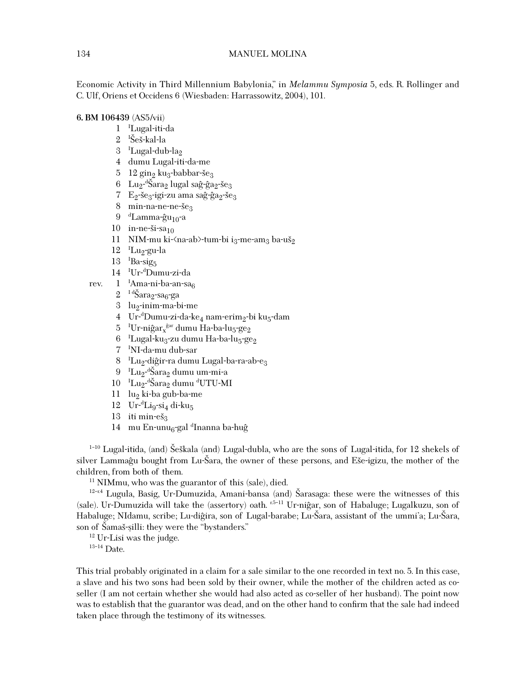Economic Activity in Third Millennium Babylonia," in *Melammu Symposia* 5, eds. R. Rollinger and C. Ulf, Oriens et Occidens 6 (Wiesbaden: Harrassowitz, 2004), 101.

#### **6. BM 106439** (AS5/vii)

- 1 <sup>I</sup> Lugal-iti-da
- 2 <sup>I</sup>Šeš-kal-la<br><sup>2 I</sup>Lugal-dul
- 3 <sup>I</sup>Lugal-dub-la<sub>2</sub>
- 4 dumu Lugal-iti-da-me
- 5 12 gin<sub>2</sub> ku<sub>3</sub>-babbar-še<sub>3</sub>
- 6 Lu<sub>2</sub>-<sup>d</sup>Šara<sub>2</sub> lugal saĝ-ĝa<sub>2</sub>-še<sub>3</sub><br>7 E rišorrigi-zu ama saĝ-ĝarršo
- 7 E<sub>2</sub>-še<sub>3</sub>-igi-zu ama saĝ-ĝa<sub>2</sub>-še<sub>3</sub>
- 8 min-na-ne-ne-še<sub>3</sub>
- 9 <sup>d</sup>Lamma-ĝu<sub>10</sub>-a
- 10 in-ne-ši-sa $_{10}$
- 11 NIM-mu ki- $\langle$ na-ab $\rangle$ -tum-bi i<sub>3</sub>-me-am<sub>3</sub> ba-uš<sub>2</sub>
- 12 <sup>I</sup>Lu<sub>2</sub>-gu-la
- 13 <sup>I</sup> Ba-sig5
- 14 <sup>I</sup> Ur-<sup>d</sup> Dumu-zi-da
- rev. 1 <sup>I</sup>Ama-ni-ba-an-sa<sub>6</sub>
	- $2^{-1}$ <sup>d</sup>Šara<sub>2</sub>-sa<sub>6</sub>-ga
	- $3$  lu<sub>2</sub>-inim-ma-bi-me
	- 4 Ur-<sup>d</sup>Dumu-zi-da-ke<sub>4</sub> nam-erim<sub>2</sub>-bi ku<sub>5</sub>-dam
	- 5 <sup>I</sup>Ur-niĝar<sub>x</sub><sup>ĝar</sup> dumu Ha-ba-lu<sub>5</sub>-ge<sub>2</sub>
	- 6 <sup>I</sup>Lugal-ku<sub>3</sub>-zu dumu Ha-ba-lu<sub>5</sub>-ge<sub>2</sub>
	- 7 <sup>I</sup> NI-da-mu dub-sar
	- 8 <sup>- I</sup>Lu<sub>2</sub>-d<u>iĝ</u>ir-ra dumu Lugal-ba-ra-ab-e<sub>3</sub>
	- 9 <sup>I</sup>Lu<sub>2</sub>-ªŠara<sub>2</sub> dumu um-mi-a<br>0 <sup>I</sup>Lua ªŠaraa dumu ªLITU-M
	- 10 <sup>I</sup>Lu<sub>2</sub>-dŠara<sub>2</sub> dumu <sup>d</sup>UTU-MI<br>11 lug kirka gub-ba-ma
	- $11$  lu<sub>2</sub> ki-ba gub-ba-me
	- 12 Ur-<sup>d</sup>Li<sub>9</sub>-si<sub>4</sub> di-ku<sub>5</sub>
	- $13$  iti min-eš<sub>3</sub>
	- 14 mu En-unu<sub>6</sub>-gal <sup>d</sup>Inanna ba-huĝ

<sup>1-10</sup> Lugal-itida, (and) Šeškala (and) Lugal-dubla, who are the sons of Lugal-itida, for 12 shekels of silver Lammagu bought from Lu-Šara, the owner of these persons, and Eše-igizu, the mother of the children, from both of them.

 $11$  NIMmu, who was the guarantor of this (sale), died.

<sup>12-r.4</sup> Lugula, Basig, Ur-Dumuzida, Amani-bansa (and) Šarasaga: these were the witnesses of this (sale). Ur-Dumuzida will take the (assertory) oath.  $E<sup>5-11</sup>$  Ur-nigar, son of Habaluge; Lugalkuzu, son of Habaluge; NIdamu, scribe; Lu-diĝira, son of Lugal-barabe; Lu-Šara, assistant of the ummi'a; Lu-Šara, son of Šamaš-silli: they were the "bystanders."  $12$  Ur-Lisi was the judge.

 $13-14$  Date.

This trial probably originated in a claim for a sale similar to the one recorded in text no. 5. In this case, a slave and his two sons had been sold by their owner, while the mother of the children acted as coseller (I am not certain whether she would had also acted as co-seller of her husband). The point now was to establish that the guarantor was dead, and on the other hand to confirm that the sale had indeed taken place through the testimony of its witnesses.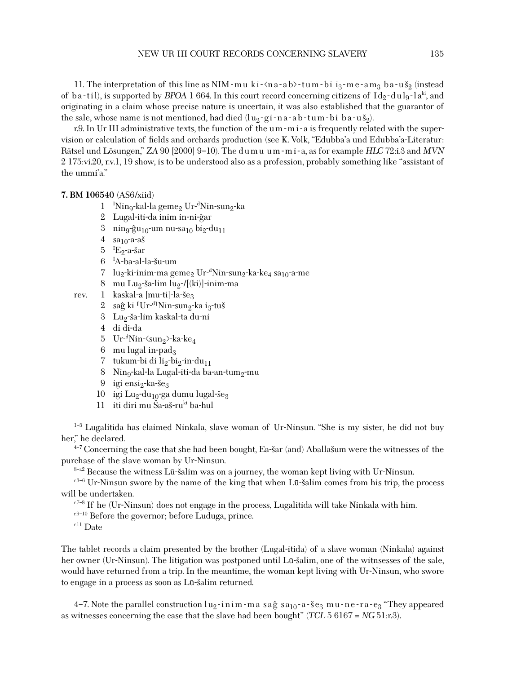11. The interpretation of this line as NIM - mu ki- $\langle$ na-ab $\rangle$ -tum-bi i<sub>3</sub>-me-am<sub>3</sub> ba-uš<sub>2</sub> (instead of ba-til), is supported by *BPOA* 1 664. In this court record concerning citizens of  $Id_2$ -dul<sub>9</sub>-la<sup>ki</sup>, and originating in a claim whose precise nature is uncertain, it was also established that the guarantor of the sale, whose name is not mentioned, had died  $(\ln 2 - g i - n a - a b - t u - b i b a - u s_2)$ .

r.9. In Ur III administrative texts, the function of the um - m i - a is frequently related with the supervision or calculation of fields and orchards production (see K. Volk, "Edubba'a und Edubba'a-Literatur: <sup>R</sup>ätsel und Lösungen," *ZA* 90 [2000] 9–10). The d u m u u m - m i - a, as for example *HLC* 72:i.3 and *MVN* 2 175:vi.20, r.v.1, 19 show, is to be understood also as a profession, probably something like "assistant of the ummi'a."

#### **7. BM 106540** (AS6/xiid)

- 1 <sup>I</sup>Nin<sub>9</sub>-kal-la geme<sub>2</sub> Ur-<sup>d</sup>Nin-sun<sub>2</sub>-ka
- 2 Lugal-iti-da inim in-ni-g^ar
- 3 nin<sub>9</sub>-ĝu<sub>10</sub>-um nu-sa<sub>10</sub> bi<sub>2</sub>-du<sub>11</sub>
- 4  $sa<sub>10</sub>$ -a-aš
- 5 <sup>I</sup>E<sub>2</sub>-a-šar<br>6 IA-ba-al-
- 6 <sup>I</sup>A-ba-al-la-šu-um<br>7 lu-ki-inim-ma*s*e
- $7$   $\,$   $\rm{lu}_2$ -ki-inim-ma geme $_2$   $\rm{Ur}$ - $\rm{d}$ Nin-sun $_2$ -ka-ke $_4$  sa $_{10}$ -a-me
- 8 mu Lu<sub>2</sub>-ša-lim lu<sub>2</sub>-/[(ki)]-inim-ma
- rev. 1 kaskal-a  $[mu-ti]$ -la-še<sub>3</sub>
	- 2 ⊔saĝ ki <sup>⊺</sup>Ur-<sup>d</sup>lNin-sun<sub>2</sub>-ka i<sub>3</sub>-tuš<br><sup>2</sup> ⊥Lu∽če-lim kaskel-te du ni
	- 3 Lu<sub>2</sub>-ša-lim kaskal-ta du-ni
	- 4 di di-da
	- 5 Ur-<sup>d</sup>Nin-⟨sun<sub>2</sub>⟩-ka-ke<sub>4</sub>
	- $6$  mu lugal in-pad<sub>3</sub>
	- 7 tukum-bi di li<sub>2</sub>-bi<sub>2</sub>-in-du<sub>11</sub>
	- 8 Nin<sub>9</sub>-kal-la Lugal-iti-da ba-an-tum<sub>2</sub>-mu
	- 9 igi ensi<sub>2</sub>-ka-še<sub>3</sub>
	- 10 igi Lu<sub>2</sub>-du<sub>10</sub>-ga dumu lugal-še<sub>3</sub>
	- 11 iti diri mu Ša-aš-ruki ba-hul

<sup>1-3</sup> Lugalitida has claimed Ninkala, slave woman of Ur-Ninsun. "She is my sister, he did not buy her," he declared.

<sup>4-7</sup> Concerning the case that she had been bought, Ea-šar (and) Aballašum were the witnesses of the purchase of the slave woman by Ur-Ninsun.

<sup>8–r.2</sup> Because the witness Lū-šalim was on a journey, the woman kept living with Ur-Ninsun.  $r^{3-6}$  Ur-Ninsun swore by the name of the king that when Lū-šalim comes from his trip, the process will be undertaken.

 $r^{7-8}$  If he (Ur-Ninsun) does not engage in the process, Lugalitida will take Ninkala with him.

 $r^{.9-10}$  Before the governor; before Luduga, prince.

r.11 Date

The tablet records a claim presented by the brother (Lugal-itida) of a slave woman (Ninkala) against her owner (Ur-Ninsun). The litigation was postponed until Lū-šalim, one of the witnsesses of the sale, would have returned from a trip. In the meantime, the woman kept living with Ur-Ninsun, who swore to engage in a process as soon as Lū-šalim returned.

4–7. Note the parallel construction  $\log$ -inim-ma sag sa<sub>10</sub>-a-s  $e_3$  mu-ne-ra- $e_3$  "They appeared as witnesses concerning the case that the slave had been bought" (*TCL* 5 6167 = *NG* 51:r.3).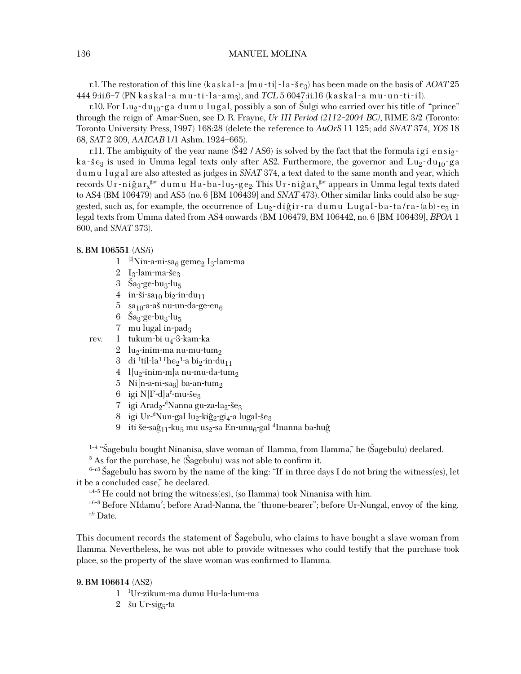#### 136 MANUEL MOLINA

r.1. The restoration of this line  $(kaskal-a [mu-ti] - la - še<sub>3</sub>)$  has been made on the basis of *AOAT* 25 444 9:ii.6–7 (PN kaskal-a mu-ti-la-am<sub>3</sub>), and *TCL* 5 6047:ii.16 (kaskal-a mu-un-ti-il).

r.10. For Lu<sub>2</sub>-du<sub>10</sub>-ga dumu lugal, possibly a son of Sulgi who carried over his title of "prince" through the reign of Amar-Suen, see D. R. Frayne, *Ur III Period (2112–2004 BC)*, RIME 3/2 (Toronto: Toronto University Press, 1997) 168:28 (delete the reference to *AuOrS* 11 125; add *SNAT* 374, *YOS* 18 68, *SAT* 2 309, *AAICAB* 1/1 Ashm. 1924–665).

r.11. The ambiguity of the year name  $(\$42 / AS6)$  is solved by the fact that the formula ig i ensigka-s<sup>e</sup><sub>3</sub> is used in Umma legal texts only after AS2. Furthermore, the governor and  $\text{Lu}_2$ -du<sub>10</sub>-ga dumu lugal are also attested as judges in *SNAT* 374, a text dated to the same month and year, which records Ur-niĝa $\rm r_x^{\hat{g}ar}$  dumu Ha-ba-lu<sub>5</sub>-ge $_{2}$ . This Ur-niĝa $\rm r_x^{\hat{g}ar}$  appears in Umma legal texts dated to AS4 (BM 106479) and AS5 (no. 6 [BM 106439] and *SNAT* 473). Other similar links could also be suggested, such as, for example, the occurrence of  $\text{Lu}_2$ -digir-ra dumu Lugal-ba-ta/ra-(ab)-e<sub>3</sub> in legal texts from Umma dated from AS4 onwards (BM 106479, BM 106442, no. 6 [BM 106439], *BPOA* 1 600, and *SNAT* 373).

#### **8. BM 106551** (AS/i)

- $1$  [I]Nin-a-ni-sa<sub>6</sub> geme<sub>2</sub> I<sub>3</sub>-lam-ma
- 2  $I_3$ -lam-ma-še $_3$
- 3  $\text{Sa}_3$ -ge-bu<sub>3</sub>-lu<sub>5</sub>
- 4 in-ši-sa<sub>10</sub> bi<sub>2</sub>-in-du<sub>11</sub>
- 5 sa<sub>10</sub>-a-aš nu-un-da-ge-en<sub>6</sub>
- 6  $\text{Sa}_3$ -ge-bu<sub>3</sub>-lu<sub>5</sub>
- 7 mu lugal in-pad $_3$
- rev.  $1$  tukum-bi u<sub>4</sub>-3-kam-ka
	- 2 lu<sub>2</sub>-inim-ma nu-mu-tum<sub>2</sub>
	- 3 di <sup> $\lceil$ til-la<sup>1</sup>  $\lceil$ he<sub>2</sub><sup>1</sup>-a bi<sub>2</sub>-in-du<sub>11</sub></sup>
	- 4  $l[u_2\text{-}\mathrm{inim\text{-}m}]$ a nu-mu-da-tum $_2$
	- 5 Ni $[n-a-ni-sa_6]$  ba-an-tum<sub>2</sub>
	- 6 igi N[I°-d]a°-mu-še<sub>3</sub><br>7 igi Arad.-<sup>d</sup>Nanna gj
	- 7 igi Arad<sub>2</sub>-<sup>d</sup>Nanna gu-za-la<sub>2</sub>-še<sub>3</sub><br>8 igi Ur. <sup>d</sup>Nun-gal lua kiĝa gias l
	- 8 igi Ur-<sup>d</sup>Nun-gal lu<sub>2</sub>-kiĝ<sub>2</sub>-gi<sub>4</sub>-a lugal-še<sub>3</sub><br>9 iti čessâ veku, mu usesa Eneunu egal
	- 9 iti še-saĝ<sub>11</sub>-ku<sub>5</sub> mu us<sub>2</sub>-sa En-unu<sub>6</sub>-gal <sup>d</sup>Inanna ba-huĝ

 $1-4$  "Šagebulu bought Ninanisa, slave woman of Ilamma, from Ilamma," he (Šagebulu) declared.

 $5$  As for the purchase, he (Šagebulu) was not able to confirm it.

 $6-13$  Sagebulu has sworn by the name of the king: "If in three days I do not bring the witness(es), let<br>e.e. songluded ease" he deelered it be a concluded case," he declared.

 $r^{4-5}$  He could not bring the witness(es), (so Ilamma) took Ninanisa with him.

 $^{\rm r6-8}$  Before NIdamu<sup>?</sup>; before Arad-Nanna, the "throne-bearer"; before Ur-Nungal, envoy of the king.  $r.9$  Date.

This document records the statement of Šagebulu, who claims to have bought a slave woman from Ilamma. Nevertheless, he was not able to provide witnesses who could testify that the purchase took place, so the property of the slave woman was confirmed to Ilamma.

#### **9. BM 106614** (AS2)

- 1 <sup>I</sup> Ur-zikum-ma dumu Hu-la-lum-ma
- $2 \times$  šu Ur-sig<sub>5</sub>-ta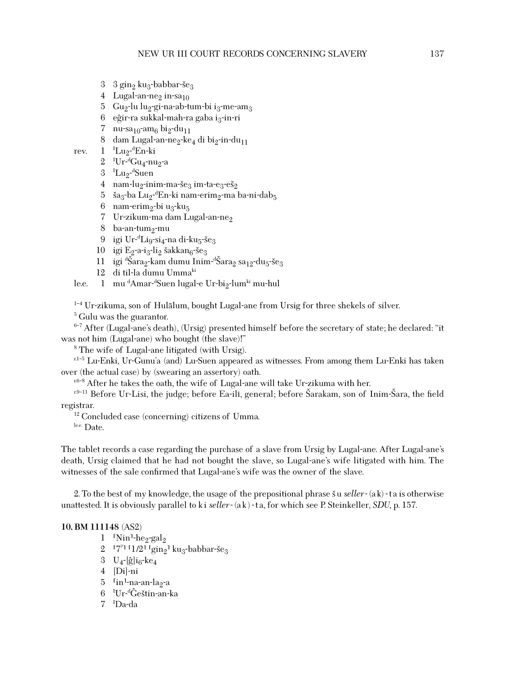- 3  $3$  gin<sub>2</sub> ku<sub>3</sub>-babbar-še<sub>3</sub>
- 4 Lugal-an-ne<sub>2</sub> in-sa<sub>10</sub>
- 5 Gu<sub>2</sub>-lu lu<sub>2</sub>-gi-na-ab-tum-bi i<sub>3</sub>-me-am<sub>3</sub>
- $6$  eĝir-ra sukkal-mah-ra gaba i $3$ -in-ri
- 7 nu-sa<sub>10</sub>-am<sub>6</sub> bi<sub>2</sub>-du<sub>11</sub>
- 8 dam Lugal-an-ne<sub>2</sub>-ke<sub>4</sub> di bi<sub>2</sub>-in-du<sub>11</sub>
- rev. 1 <sup>I</sup>Lu<sub>2</sub>-<sup>d</sup>En-ki
	- 2 <sup>I</sup>Ur-<sup>d</sup>Gu<sub>4</sub>-nu<sub>2</sub>-a
	- 3 <sup>I</sup>Lu<sub>2</sub>-<sup>d</sup>Suen
	- 4 nam-lu<sub>2</sub>-inim-ma-še<sub>3</sub> im-ta-e<sub>3</sub>-eš<sub>2</sub>
	- 5 ša<sub>3</sub>-ba Lu<sub>2</sub>-<sup>d</sup>En-ki nam-erim<sub>2</sub>-ma ba-ni-dab<sub>5</sub><br>6 nam-orima-bi ua-ku
	- 6 nam-erim<sub>2</sub>-bi u<sub>3</sub>-ku<sub>5</sub>
	- 7 Ur-zikum-ma dam Lugal-an-ne<sub>2</sub>
	- 8 ba-an-tum<sub>2</sub>-mu
	- 9 igi Ur-<sup>d</sup>Li<sub>9</sub>-si<sub>4</sub>-na di-ku<sub>5</sub>-še<sub>3</sub><br>0 igi E-sais-lis šekken sšes
	-
	- 10 igi E<sub>2</sub>-a-i<sub>3</sub>-li<sub>2</sub> šakkan<sub>6</sub>-še<sub>3</sub><br>11 igi <sup>d</sup>Šara<sub>2</sub>-kam dumu Inim-<sup>d</sup>Šara<sub>2</sub> sa<sub>12</sub>-du<sub>5</sub>-še<sub>3</sub><br>12 di til-la dumu Umma<sup>ki</sup>
	- 12 di til-la dumu Ummaki
- le.e. 1 mu <sup>d</sup>Amar-<sup>d</sup>Suen lugal-e Ur-bi<sub>2</sub>-lum<sup>ki</sup> mu-hul
- <sup>1-4</sup> Ur-zikuma, son of Hulālum, bought Lugal-ane from Ursig for three shekels of silver.
- <sup>5</sup> Gulu was the guarantor.

 $6-7$  After (Lugal-ane's death), (Ursig) presented himself before the secretary of state; he declared: "it was not him (Lugal-ane) who bought (the slave)!"

 $^8$  The wife of Lugal-ane litigated (with Ursig).

r.1–5 Lu-Enki, Ur-Gunu'a (and) Lu-Suen appeared as witnesses. From among them Lu-Enki has taken over (the actual case) by (swearing an assertory) oath.

 $r^{6-8}$  After he takes the oath, the wife of Lugal-ane will take Ur-zikuma with her.

 $r^{9-11}$  Before Ur-Lisi, the judge; before Ea-ili, general; before Šarakam, son of Inim-Šara, the field registrar.

<sup>12</sup> Concluded case (concerning) citizens of Umma.

le.e. Date.

The tablet records a case regarding the purchase of a slave from Ursig by Lugal-ane. After Lugal-ane's death, Ursig claimed that he had not bought the slave, so Lugal-ane's wife litigated with him. The witnesses of the sale confirmed that Lugal-ane's wife was the owner of the slave.

2. To the best of my knowledge, the usage of the prepositional phrase  $\check{s}$  useller-(ak) - ta is otherwise unattested. It is obviously parallel to ki seller-(ak)-ta, for which see P. Steinkeller, *SDU*, p. 157.

#### **10. BM 111148** (AS2)

- 1  $\frac{N}{2}$ -he<sub>2</sub>-gal<sub>2</sub>
- 2 <sup>17°1 1</sup>1/2<sup>1 r</sup>gin<sub>2</sub><sup>1</sup> ku<sub>3</sub>-babbar-še<sub>3</sub><br>3 Halisko
- 3  $U_4$ -[ĝ]i<sub>6</sub>-ke<sub>4</sub>
- 4 [Di]-ni
- 5 <sup>r</sup>in<sup>1</sup>-na-an-la<sub>2</sub>-a
- 6 <sup>I</sup>Ur-<sup>d</sup>Ĝeštin-an-ka<br>7 <sup>I</sup>De-de
- 7 <sup>I</sup> Da-da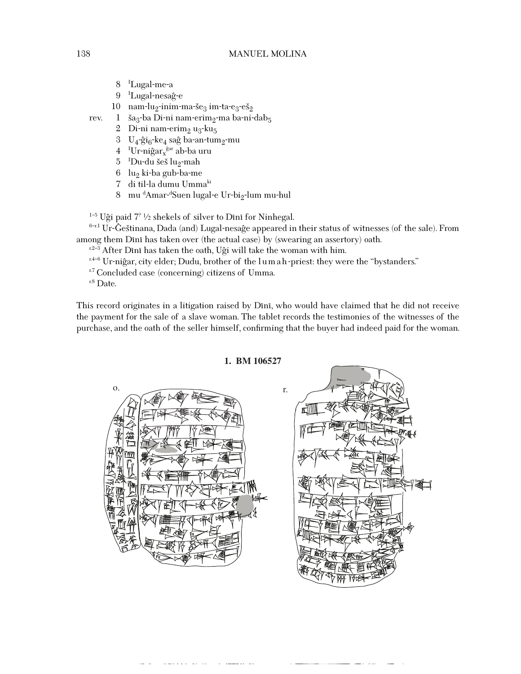#### 138 MANUEL MOLINA

- 8 <sup>I</sup> Lugal-me-a
- 9 <sup>I</sup>Lugal-nesaĝ-e
- 10 nam-lu<sub>2</sub>-inim-ma-še<sub>3</sub> im-ta-e<sub>3</sub>-eš<sub>2</sub>
- rev. 1 ša<sub>3</sub>-ba Di-ni nam-erim<sub>2</sub>-ma ba-ni-dab<sub>5</sub>
	- 2 Di-ni nam-erim<sub>2</sub> u<sub>3</sub>-ku<sub>5</sub>
	- 3 U<sub>4</sub>-ĝi<sub>6</sub>-ke<sub>4</sub> saĝ ba-an-tum<sub>2</sub>-mu
	- 4 <sup>I</sup>Ur-niĝar<sub>x</sub><sup>ĝar</sup> ab-ba uru
	- 5 <sup>I</sup>Du-du šeš lu<sub>2</sub>-mah<br>6 lugliche gub-be-me
	- 6 lu<sub>2</sub> ki-ba gub-ba-me
	- 7 di til-la dumu Ummaki
	- 8  $\,$  mu  $\rm ^dA$ mar- $\rm ^dS$ uen lugal-e Ur-bi $\rm _2$ -lum mu-hul

<sup>1-5</sup> Uĝi paid  $7^{\circ}$  1/2 shekels of silver to Dini for Ninhegal.

 $6-$ r.1 Ur-Ĝeštinana, Dada (and) Lugal-nesaĝe appeared in their status of witnesses (of the sale). From among them Dini has taken over (the actual case) by (swearing an assertory) oath.

 $x^{2-3}$  After Dini has taken the oath, Uĝi will take the woman with him.<br> $x^{4-6}$  Ur-niĝar, city elder; Dudu, brother of the lumah-priest: they were the "bystanders."

<sup>r.7</sup> Concluded case (concerning) citizens of Umma.

 $E$ <sup>r.8</sup> Date.

This record originates in a litigation raised by Dini, who would have claimed that he did not receive the payment for the sale of a slave woman. The tablet records the testimonies of the witnesses of the purchase, and the oath of the seller himself, confirming that the buyer had indeed paid for the woman.

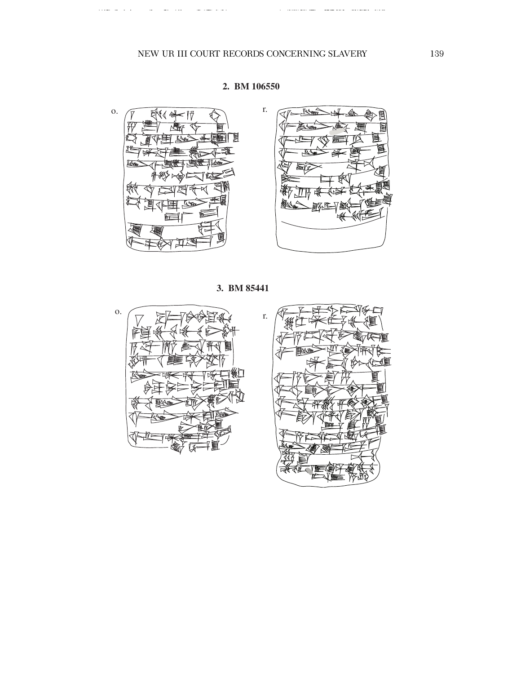

### **2. BM 106550**



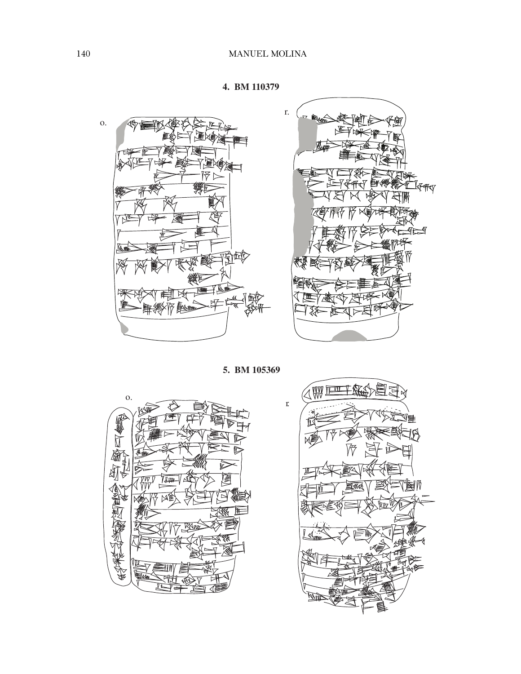





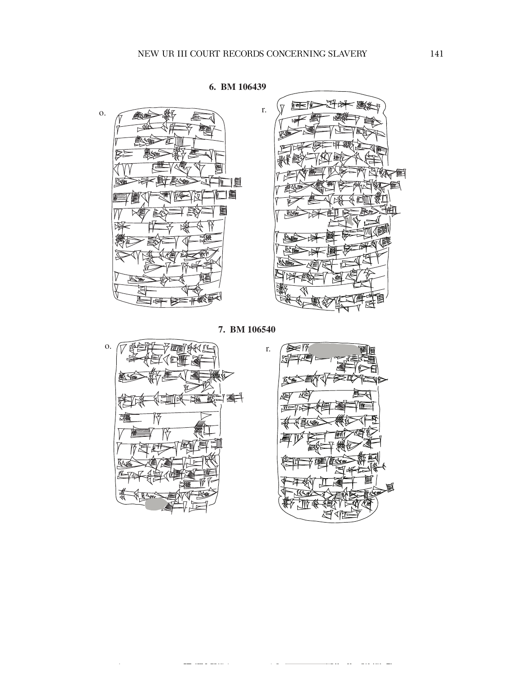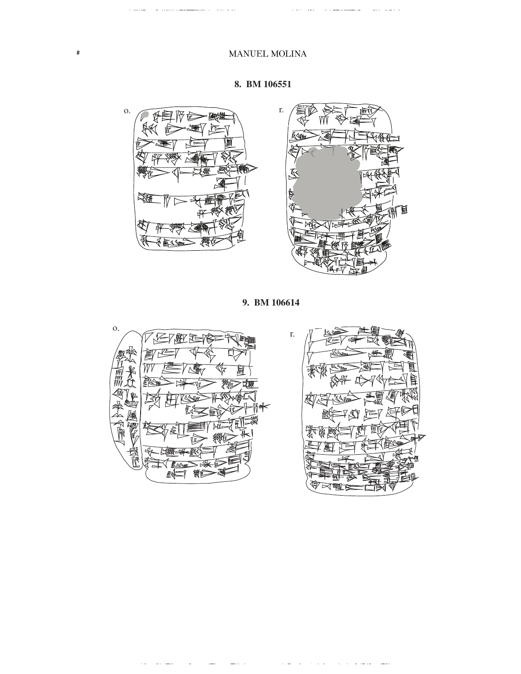

#



**9. BM 106614**